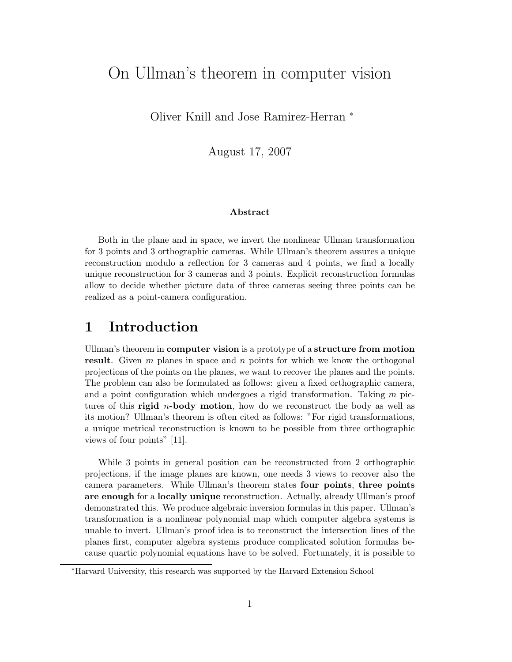# On Ullman's theorem in computer vision

Oliver Knill and Jose Ramirez-Herran <sup>∗</sup>

August 17, 2007

#### Abstract

Both in the plane and in space, we invert the nonlinear Ullman transformation for 3 points and 3 orthographic cameras. While Ullman's theorem assures a unique reconstruction modulo a reflection for 3 cameras and 4 points, we find a locally unique reconstruction for 3 cameras and 3 points. Explicit reconstruction formulas allow to decide whether picture data of three cameras seeing three points can be realized as a point-camera configuration.

## 1 Introduction

Ullman's theorem in computer vision is a prototype of a structure from motion result. Given  $m$  planes in space and  $n$  points for which we know the orthogonal projections of the points on the planes, we want to recover the planes and the points. The problem can also be formulated as follows: given a fixed orthographic camera, and a point configuration which undergoes a rigid transformation. Taking  $m$  pictures of this **rigid** *n*-body motion, how do we reconstruct the body as well as its motion? Ullman's theorem is often cited as follows: "For rigid transformations, a unique metrical reconstruction is known to be possible from three orthographic views of four points" [11].

While 3 points in general position can be reconstructed from 2 orthographic projections, if the image planes are known, one needs 3 views to recover also the camera parameters. While Ullman's theorem states four points, three points are enough for a locally unique reconstruction. Actually, already Ullman's proof demonstrated this. We produce algebraic inversion formulas in this paper. Ullman's transformation is a nonlinear polynomial map which computer algebra systems is unable to invert. Ullman's proof idea is to reconstruct the intersection lines of the planes first, computer algebra systems produce complicated solution formulas because quartic polynomial equations have to be solved. Fortunately, it is possible to

<sup>∗</sup>Harvard University, this research was supported by the Harvard Extension School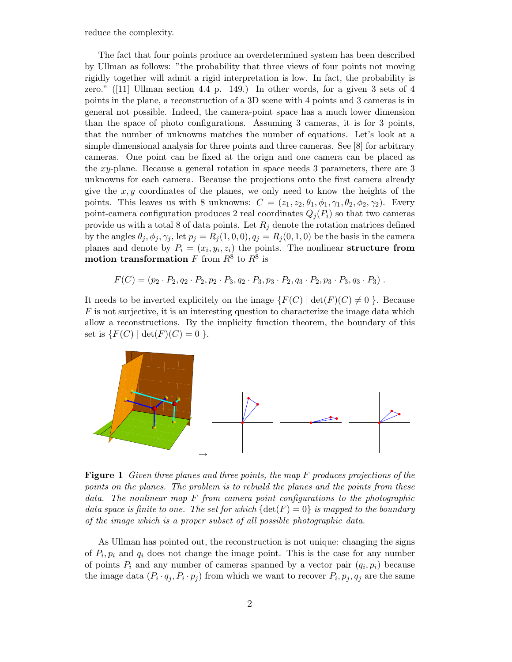reduce the complexity.

The fact that four points produce an overdetermined system has been described by Ullman as follows: "the probability that three views of four points not moving rigidly together will admit a rigid interpretation is low. In fact, the probability is zero." ([11] Ullman section 4.4 p. 149.) In other words, for a given 3 sets of 4 points in the plane, a reconstruction of a 3D scene with 4 points and 3 cameras is in general not possible. Indeed, the camera-point space has a much lower dimension than the space of photo configurations. Assuming 3 cameras, it is for 3 points, that the number of unknowns matches the number of equations. Let's look at a simple dimensional analysis for three points and three cameras. See [8] for arbitrary cameras. One point can be fixed at the orign and one camera can be placed as the xy-plane. Because a general rotation in space needs 3 parameters, there are 3 unknowns for each camera. Because the projections onto the first camera already give the  $x, y$  coordinates of the planes, we only need to know the heights of the points. This leaves us with 8 unknowns:  $C = (z_1, z_2, \theta_1, \phi_1, \gamma_1, \theta_2, \phi_2, \gamma_2)$ . Every point-camera configuration produces 2 real coordinates  $Q_i(P_i)$  so that two cameras provide us with a total 8 of data points. Let  $R_j$  denote the rotation matrices defined by the angles  $\theta_j, \phi_j, \gamma_j$ , let  $p_j = R_j(1, 0, 0), q_j = R_j(0, 1, 0)$  be the basis in the camera planes and denote by  $P_i = (x_i, y_i, z_i)$  the points. The nonlinear structure from motion transformation F from  $R^8$  to  $R^8$  is

$$
F(C) = (p_2 \cdot P_2, q_2 \cdot P_2, p_2 \cdot P_3, q_2 \cdot P_3, p_3 \cdot P_2, q_3 \cdot P_2, p_3 \cdot P_3, q_3 \cdot P_3).
$$

It needs to be inverted explicitely on the image  $\{F(C) \mid \det(F)(C) \neq 0 \}$ . Because  $F$  is not surjective, it is an interesting question to characterize the image data which allow a reconstructions. By the implicity function theorem, the boundary of this set is  $\{F(C) | \det(F)(C) = 0 \}$ .



Figure 1 Given three planes and three points, the map F produces projections of the points on the planes. The problem is to rebuild the planes and the points from these data. The nonlinear map F from camera point configurations to the photographic data space is finite to one. The set for which  $\{\det(F) = 0\}$  is mapped to the boundary of the image which is a proper subset of all possible photographic data.

As Ullman has pointed out, the reconstruction is not unique: changing the signs of  $P_i, p_i$  and  $q_i$  does not change the image point. This is the case for any number of points  $P_i$  and any number of cameras spanned by a vector pair  $(q_i, p_i)$  because the image data  $(P_i \cdot q_j, P_i \cdot p_j)$  from which we want to recover  $P_i, p_j, q_j$  are the same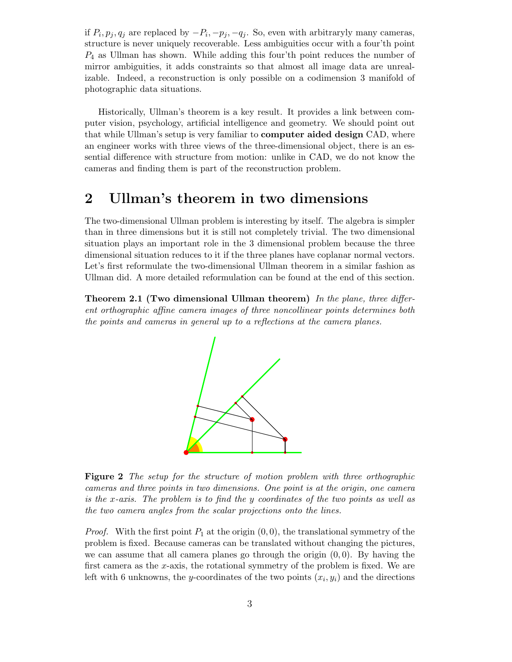if  $P_i, p_j, q_j$  are replaced by  $-P_i, -p_j, -q_j$ . So, even with arbitraryly many cameras, structure is never uniquely recoverable. Less ambiguities occur with a four'th point  $P_4$  as Ullman has shown. While adding this four'th point reduces the number of mirror ambiguities, it adds constraints so that almost all image data are unrealizable. Indeed, a reconstruction is only possible on a codimension 3 manifold of photographic data situations.

Historically, Ullman's theorem is a key result. It provides a link between computer vision, psychology, artificial intelligence and geometry. We should point out that while Ullman's setup is very familiar to computer aided design CAD, where an engineer works with three views of the three-dimensional object, there is an essential difference with structure from motion: unlike in CAD, we do not know the cameras and finding them is part of the reconstruction problem.

### 2 Ullman's theorem in two dimensions

The two-dimensional Ullman problem is interesting by itself. The algebra is simpler than in three dimensions but it is still not completely trivial. The two dimensional situation plays an important role in the 3 dimensional problem because the three dimensional situation reduces to it if the three planes have coplanar normal vectors. Let's first reformulate the two-dimensional Ullman theorem in a similar fashion as Ullman did. A more detailed reformulation can be found at the end of this section.

Theorem 2.1 (Two dimensional Ullman theorem) In the plane, three different orthographic affine camera images of three noncollinear points determines both the points and cameras in general up to a reflections at the camera planes.



**Figure 2** The setup for the structure of motion problem with three orthographic cameras and three points in two dimensions. One point is at the origin, one camera is the x-axis. The problem is to find the y coordinates of the two points as well as the two camera angles from the scalar projections onto the lines.

*Proof.* With the first point  $P_1$  at the origin  $(0, 0)$ , the translational symmetry of the problem is fixed. Because cameras can be translated without changing the pictures, we can assume that all camera planes go through the origin  $(0, 0)$ . By having the first camera as the x-axis, the rotational symmetry of the problem is fixed. We are left with 6 unknowns, the y-coordinates of the two points  $(x_i, y_i)$  and the directions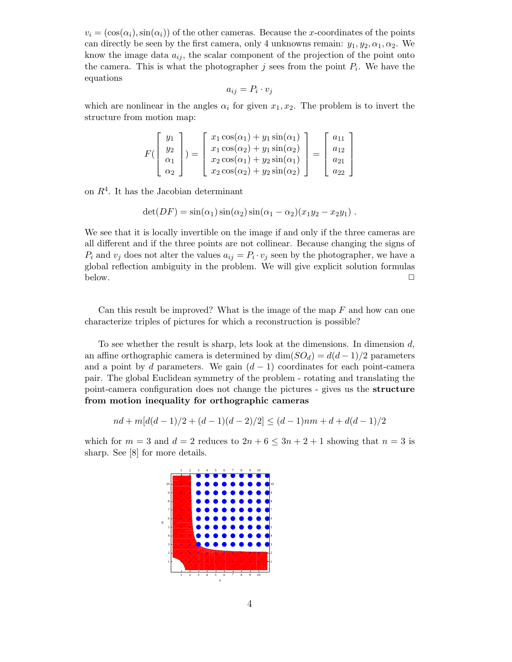$v_i = (\cos(\alpha_i), \sin(\alpha_i))$  of the other cameras. Because the x-coordinates of the points can directly be seen by the first camera, only 4 unknowns remain:  $y_1, y_2, \alpha_1, \alpha_2$ . We know the image data  $a_{ij}$ , the scalar component of the projection of the point onto the camera. This is what the photographer  $j$  sees from the point  $P_i$ . We have the equations

$$
a_{ij}=P_i\cdot v_j
$$

which are nonlinear in the angles  $\alpha_i$  for given  $x_1, x_2$ . The problem is to invert the structure from motion map:

$$
F\begin{pmatrix} y_1 \\ y_2 \\ \alpha_1 \\ \alpha_2 \end{pmatrix} = \begin{bmatrix} x_1 \cos(\alpha_1) + y_1 \sin(\alpha_1) \\ x_1 \cos(\alpha_2) + y_1 \sin(\alpha_2) \\ x_2 \cos(\alpha_1) + y_2 \sin(\alpha_1) \\ x_2 \cos(\alpha_2) + y_2 \sin(\alpha_2) \end{bmatrix} = \begin{bmatrix} a_{11} \\ a_{12} \\ a_{21} \\ a_{22} \end{bmatrix}
$$

on  $R<sup>4</sup>$ . It has the Jacobian determinant

$$
\det(DF) = \sin(\alpha_1)\sin(\alpha_2)\sin(\alpha_1-\alpha_2)(x_1y_2-x_2y_1).
$$

We see that it is locally invertible on the image if and only if the three cameras are all different and if the three points are not collinear. Because changing the signs of  $P_i$  and  $v_j$  does not alter the values  $a_{ij} = P_i \cdot v_j$  seen by the photographer, we have a global reflection ambiguity in the problem. We will give explicit solution formulas below.  $\Box$ 

Can this result be improved? What is the image of the map  $F$  and how can one characterize triples of pictures for which a reconstruction is possible?

To see whether the result is sharp, lets look at the dimensions. In dimension  $d$ , an affine orthographic camera is determined by  $\dim(SO_d) = d(d-1)/2$  parameters and a point by d parameters. We gain  $(d-1)$  coordinates for each point-camera pair. The global Euclidean symmetry of the problem - rotating and translating the point-camera configuration does not change the pictures - gives us the structure from motion inequality for orthographic cameras

$$
nd + m[d(d-1)/2 + (d-1)(d-2)/2] \le (d-1)nm + d + d(d-1)/2
$$

which for  $m = 3$  and  $d = 2$  reduces to  $2n + 6 \leq 3n + 2 + 1$  showing that  $n = 3$  is sharp. See [8] for more details.

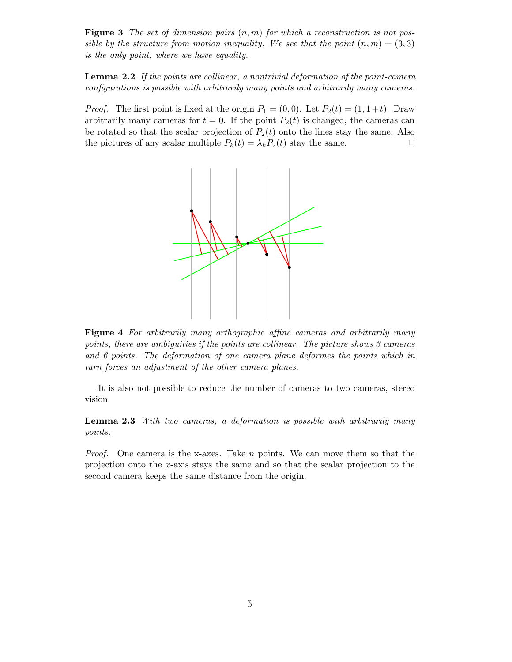**Figure 3** The set of dimension pairs  $(n, m)$  for which a reconstruction is not possible by the structure from motion inequality. We see that the point  $(n, m) = (3, 3)$ is the only point, where we have equality.

Lemma 2.2 If the points are collinear, a nontrivial deformation of the point-camera configurations is possible with arbitrarily many points and arbitrarily many cameras.

*Proof.* The first point is fixed at the origin  $P_1 = (0,0)$ . Let  $P_2(t) = (1, 1+t)$ . Draw arbitrarily many cameras for  $t = 0$ . If the point  $P_2(t)$  is changed, the cameras can be rotated so that the scalar projection of  $P_2(t)$  onto the lines stay the same. Also the pictures of any scalar multiple  $P_k(t) = \lambda_k P_2(t)$  stay the same.  $\Box$ 



Figure 4 For arbitrarily many orthographic affine cameras and arbitrarily many points, there are ambiguities if the points are collinear. The picture shows 3 cameras and 6 points. The deformation of one camera plane deformes the points which in turn forces an adjustment of the other camera planes.

It is also not possible to reduce the number of cameras to two cameras, stereo vision.

Lemma 2.3 With two cameras, a deformation is possible with arbitrarily many points.

*Proof.* One camera is the x-axes. Take n points. We can move them so that the projection onto the x-axis stays the same and so that the scalar projection to the second camera keeps the same distance from the origin.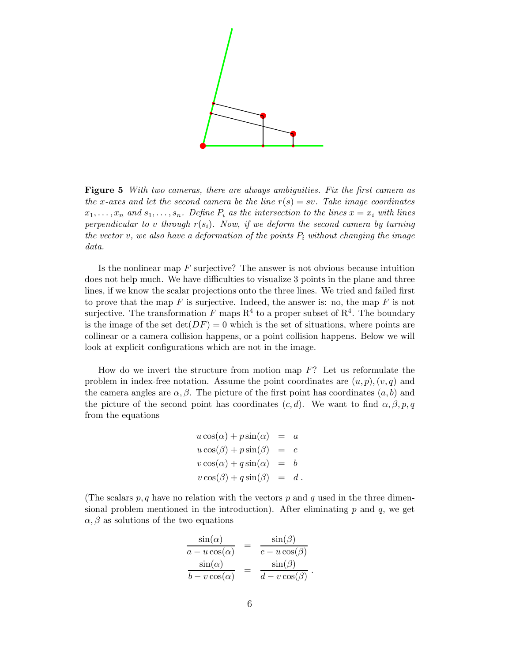

Figure 5 With two cameras, there are always ambiguities. Fix the first camera as the x-axes and let the second camera be the line  $r(s) = sv$ . Take image coordinates  $x_1, \ldots, x_n$  and  $s_1, \ldots, s_n$ . Define  $P_i$  as the intersection to the lines  $x = x_i$  with lines perpendicular to v through  $r(s_i)$ . Now, if we deform the second camera by turning the vector v, we also have a deformation of the points  $P_i$  without changing the image data.

Is the nonlinear map  $F$  surjective? The answer is not obvious because intuition does not help much. We have difficulties to visualize 3 points in the plane and three lines, if we know the scalar projections onto the three lines. We tried and failed first to prove that the map  $F$  is surjective. Indeed, the answer is: no, the map  $F$  is not surjective. The transformation F maps  $\mathbb{R}^4$  to a proper subset of  $\mathbb{R}^4$ . The boundary is the image of the set  $\det(DF) = 0$  which is the set of situations, where points are collinear or a camera collision happens, or a point collision happens. Below we will look at explicit configurations which are not in the image.

How do we invert the structure from motion map  $F$ ? Let us reformulate the problem in index-free notation. Assume the point coordinates are  $(u, p), (v, q)$  and the camera angles are  $\alpha, \beta$ . The picture of the first point has coordinates  $(a, b)$  and the picture of the second point has coordinates  $(c, d)$ . We want to find  $\alpha, \beta, p, q$ from the equations

$$
u \cos(\alpha) + p \sin(\alpha) = a
$$
  
\n
$$
u \cos(\beta) + p \sin(\beta) = c
$$
  
\n
$$
v \cos(\alpha) + q \sin(\alpha) = b
$$
  
\n
$$
v \cos(\beta) + q \sin(\beta) = d
$$
.

(The scalars  $p, q$  have no relation with the vectors p and q used in the three dimensional problem mentioned in the introduction). After eliminating  $p$  and  $q$ , we get  $\alpha, \beta$  as solutions of the two equations

$$
\frac{\sin(\alpha)}{a - u \cos(\alpha)} = \frac{\sin(\beta)}{c - u \cos(\beta)}
$$

$$
\frac{\sin(\alpha)}{b - v \cos(\alpha)} = \frac{\sin(\beta)}{d - v \cos(\beta)}.
$$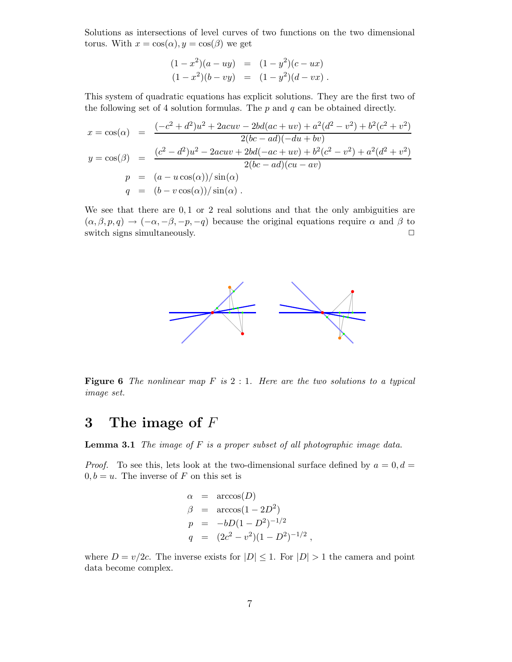Solutions as intersections of level curves of two functions on the two dimensional torus. With  $x = \cos(\alpha)$ ,  $y = \cos(\beta)$  we get

$$
(1-x2)(a - uy) = (1 - y2)(c - ux) (1 - x2)(b - vy) = (1 - y2)(d - vx).
$$

This system of quadratic equations has explicit solutions. They are the first two of the following set of 4 solution formulas. The  $p$  and  $q$  can be obtained directly.

$$
x = \cos(\alpha) = \frac{(-c^2 + d^2)u^2 + 2acuv - 2bd(ac + uv) + a^2(d^2 - v^2) + b^2(c^2 + v^2)}{2(bc - ad)(-du + bv)}
$$
  
\n
$$
y = \cos(\beta) = \frac{(c^2 - d^2)u^2 - 2acuv + 2bd(-ac + uv) + b^2(c^2 - v^2) + a^2(d^2 + v^2)}{2(bc - ad)(cu - av)}
$$
  
\n
$$
p = (a - u\cos(\alpha))/\sin(\alpha)
$$
  
\n
$$
q = (b - v\cos(\alpha))/\sin(\alpha).
$$

We see that there are  $0, 1$  or 2 real solutions and that the only ambiguities are  $(\alpha, \beta, p, q) \rightarrow (-\alpha, -\beta, -p, -q)$  because the original equations require  $\alpha$  and  $\beta$  to switch signs simultaneously. switch signs simultaneously.



**Figure 6** The nonlinear map  $F$  is  $2:1$ . Here are the two solutions to a typical image set.

## 3 The image of  $F$

**Lemma 3.1** The image of  $F$  is a proper subset of all photographic image data.

*Proof.* To see this, lets look at the two-dimensional surface defined by  $a = 0, d =$  $0, b = u$ . The inverse of F on this set is

$$
\alpha = \arccos(D)
$$
  
\n
$$
\beta = \arccos(1 - 2D^2)
$$
  
\n
$$
p = -bD(1 - D^2)^{-1/2}
$$
  
\n
$$
q = (2c^2 - v^2)(1 - D^2)^{-1/2}
$$
,

where  $D = v/2c$ . The inverse exists for  $|D| \leq 1$ . For  $|D| > 1$  the camera and point data become complex.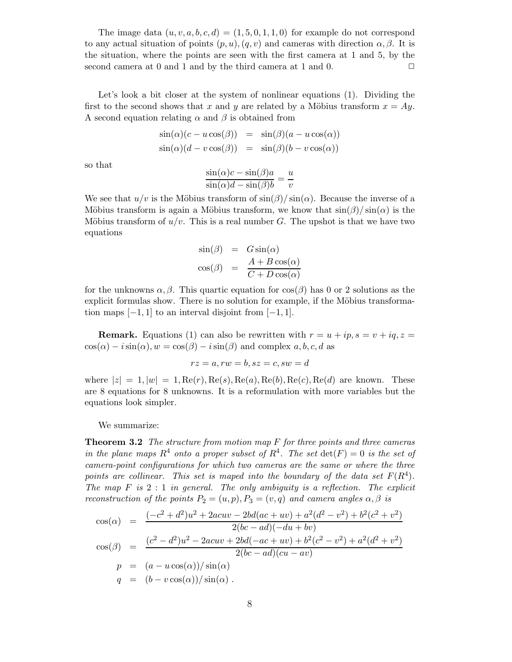The image data  $(u, v, a, b, c, d) = (1, 5, 0, 1, 1, 0)$  for example do not correspond to any actual situation of points  $(p, u), (q, v)$  and cameras with direction  $\alpha, \beta$ . It is the situation, where the points are seen with the first camera at 1 and 5, by the second camera at 0 and 1 and by the third camera at 1 and 0.  $\Box$ 

Let's look a bit closer at the system of nonlinear equations (1). Dividing the first to the second shows that x and y are related by a Möbius transform  $x = Ay$ . A second equation relating  $\alpha$  and  $\beta$  is obtained from

$$
sin(\alpha)(c - u cos(\beta)) = sin(\beta)(a - u cos(\alpha))
$$
  

$$
sin(\alpha)(d - v cos(\beta)) = sin(\beta)(b - v cos(\alpha))
$$

so that

$$
\frac{\sin(\alpha)c - \sin(\beta)a}{\sin(\alpha)d - \sin(\beta)b} = \frac{u}{v}
$$

We see that  $u/v$  is the Möbius transform of  $\sin(\beta)/\sin(\alpha)$ . Because the inverse of a Möbius transform is again a Möbius transform, we know that  $\sin(\beta)/\sin(\alpha)$  is the Möbius transform of  $u/v$ . This is a real number G. The upshot is that we have two equations

$$
\sin(\beta) = G \sin(\alpha)
$$
  

$$
\cos(\beta) = \frac{A + B \cos(\alpha)}{C + D \cos(\alpha)}
$$

for the unknowns  $\alpha, \beta$ . This quartic equation for  $\cos(\beta)$  has 0 or 2 solutions as the explicit formulas show. There is no solution for example, if the Möbius transformation maps  $[-1, 1]$  to an interval disjoint from  $[-1, 1]$ .

**Remark.** Equations (1) can also be rewritten with  $r = u + ip$ ,  $s = v + iq$ ,  $z =$  $\cos(\alpha) - i \sin(\alpha)$ ,  $w = \cos(\beta) - i \sin(\beta)$  and complex a, b, c, d as

$$
rz = a, rw = b, sz = c, sw = d
$$

where  $|z| = 1, |w| = 1, \text{Re}(r), \text{Re}(s), \text{Re}(a), \text{Re}(b), \text{Re}(c), \text{Re}(d)$  are known. These are 8 equations for 8 unknowns. It is a reformulation with more variables but the equations look simpler.

We summarize:

**Theorem 3.2** The structure from motion map  $F$  for three points and three cameras in the plane maps  $R^4$  onto a proper subset of  $R^4$ . The set  $\det(F) = 0$  is the set of camera-point configurations for which two cameras are the same or where the three points are collinear. This set is maped into the boundary of the data set  $F(R<sup>4</sup>)$ . The map  $F$  is  $2:1$  in general. The only ambiguity is a reflection. The explicit reconstruction of the points  $P_2 = (u, p), P_3 = (v, q)$  and camera angles  $\alpha, \beta$  is

$$
\cos(\alpha) = \frac{(-c^2 + d^2)u^2 + 2acuv - 2bd(ac + uv) + a^2(d^2 - v^2) + b^2(c^2 + v^2)}{2(bc - ad)(-du + bv)}
$$
  
\n
$$
\cos(\beta) = \frac{(c^2 - d^2)u^2 - 2acuv + 2bd(-ac + uv) + b^2(c^2 - v^2) + a^2(d^2 + v^2)}{2(bc - ad)(cu - av)}
$$
  
\n
$$
p = (a - u\cos(\alpha))/\sin(\alpha)
$$
  
\n
$$
q = (b - v\cos(\alpha))/\sin(\alpha).
$$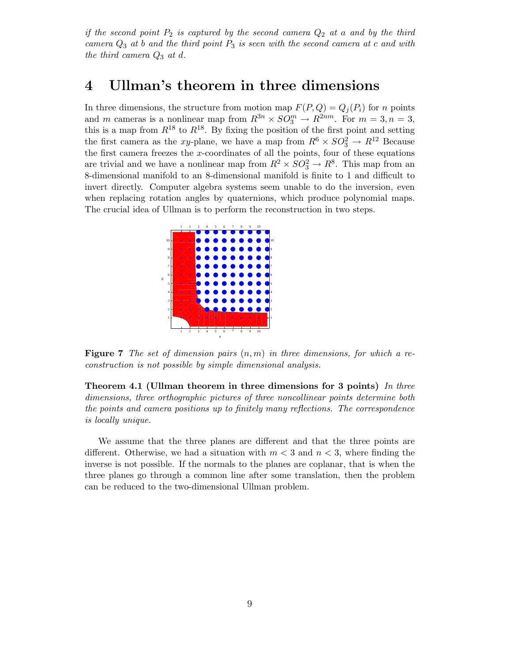if the second point  $P_2$  is captured by the second camera  $Q_2$  at a and by the third camera  $Q_3$  at b and the third point  $P_3$  is seen with the second camera at c and with the third camera  $Q_3$  at d.

## 4 Ullman's theorem in three dimensions

In three dimensions, the structure from motion map  $F(P,Q) = Q_i(P_i)$  for n points and m cameras is a nonlinear map from  $R^{3n} \times SO_3^m \to R^{2nm}$ . For  $m = 3, n = 3$ , this is a map from  $R^{18}$  to  $R^{18}$ . By fixing the position of the first point and setting the first camera as the xy-plane, we have a map from  $R^6 \times SO_3^2 \rightarrow R^{12}$  Because the first camera freezes the  $x$ -coordinates of all the points, four of these equations are trivial and we have a nonlinear map from  $R^2 \times SO_3^2 \rightarrow R^8$ . This map from an 8-dimensional manifold to an 8-dimensional manifold is finite to 1 and difficult to invert directly. Computer algebra systems seem unable to do the inversion, even when replacing rotation angles by quaternions, which produce polynomial maps. The crucial idea of Ullman is to perform the reconstruction in two steps.



**Figure 7** The set of dimension pairs  $(n, m)$  in three dimensions, for which a reconstruction is not possible by simple dimensional analysis.

Theorem 4.1 (Ullman theorem in three dimensions for 3 points) In three dimensions, three orthographic pictures of three noncollinear points determine both the points and camera positions up to finitely many reflections. The correspondence is locally unique.

We assume that the three planes are different and that the three points are different. Otherwise, we had a situation with  $m < 3$  and  $n < 3$ , where finding the inverse is not possible. If the normals to the planes are coplanar, that is when the three planes go through a common line after some translation, then the problem can be reduced to the two-dimensional Ullman problem.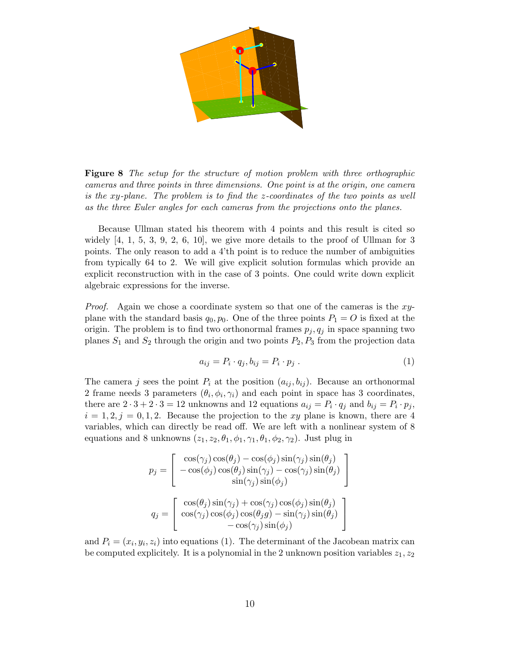

Figure 8 The setup for the structure of motion problem with three orthographic cameras and three points in three dimensions. One point is at the origin, one camera is the xy-plane. The problem is to find the z-coordinates of the two points as well as the three Euler angles for each cameras from the projections onto the planes.

Because Ullman stated his theorem with 4 points and this result is cited so widely  $[4, 1, 5, 3, 9, 2, 6, 10]$ , we give more details to the proof of Ullman for 3 points. The only reason to add a 4'th point is to reduce the number of ambiguities from typically 64 to 2. We will give explicit solution formulas which provide an explicit reconstruction with in the case of 3 points. One could write down explicit algebraic expressions for the inverse.

Proof. Again we chose a coordinate system so that one of the cameras is the xyplane with the standard basis  $q_0, p_0$ . One of the three points  $P_1 = O$  is fixed at the origin. The problem is to find two orthonormal frames  $p_j, q_j$  in space spanning two planes  $S_1$  and  $S_2$  through the origin and two points  $P_2, P_3$  from the projection data

$$
a_{ij} = P_i \cdot q_j, b_{ij} = P_i \cdot p_j. \tag{1}
$$

The camera j sees the point  $P_i$  at the position  $(a_{ij}, b_{ij})$ . Because an orthonormal 2 frame needs 3 parameters  $(\theta_i, \phi_i, \gamma_i)$  and each point in space has 3 coordinates, there are  $2 \cdot 3 + 2 \cdot 3 = 12$  unknowns and 12 equations  $a_{ij} = P_i \cdot q_j$  and  $b_{ij} = P_i \cdot p_j$ ,  $i = 1, 2, j = 0, 1, 2$ . Because the projection to the xy plane is known, there are 4 variables, which can directly be read off. We are left with a nonlinear system of 8 equations and 8 unknowns  $(z_1, z_2, \theta_1, \phi_1, \gamma_1, \theta_1, \phi_2, \gamma_2)$ . Just plug in

$$
p_j = \begin{bmatrix} \cos(\gamma_j)\cos(\theta_j) - \cos(\phi_j)\sin(\gamma_j)\sin(\theta_j) \\ -\cos(\phi_j)\cos(\theta_j)\sin(\gamma_j) - \cos(\gamma_j)\sin(\theta_j) \\ \sin(\gamma_j)\sin(\phi_j) \end{bmatrix}
$$

$$
q_j = \begin{bmatrix} \cos(\theta_j)\sin(\gamma_j) + \cos(\gamma_j)\cos(\phi_j)\sin(\theta_j) \\ \cos(\gamma_j)\cos(\phi_j)\cos(\theta_jg) - \sin(\gamma_j)\sin(\theta_j) \\ -\cos(\gamma_j)\sin(\phi_j) \end{bmatrix}
$$

and  $P_i = (x_i, y_i, z_i)$  into equations (1). The determinant of the Jacobean matrix can be computed explicitely. It is a polynomial in the 2 unknown position variables  $z_1, z_2$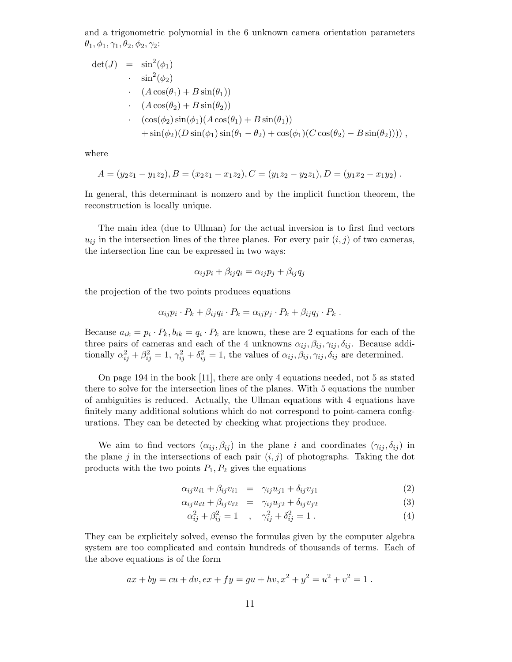and a trigonometric polynomial in the 6 unknown camera orientation parameters  $\theta_1, \phi_1, \gamma_1, \theta_2, \phi_2, \gamma_2$ :

$$
det(J) = sin2(\phi1)
$$
  
\n
$$
sin2(\phi2)
$$
  
\n
$$
(A cos(\theta1) + B sin(\theta1))
$$
  
\n
$$
(A cos(\theta2) + B sin(\theta2))
$$
  
\n
$$
-(cos(\phi2) sin(\phi1)(A cos(\theta1) + B sin(\theta1))
$$
  
\n
$$
+ sin(\phi2)(D sin(\phi1) sin(\theta1 - \theta2) + cos(\phi1)(C cos(\theta2) - B sin(\theta2))))
$$

where

$$
A = (y_2z_1 - y_1z_2), B = (x_2z_1 - x_1z_2), C = (y_1z_2 - y_2z_1), D = (y_1x_2 - x_1y_2).
$$

In general, this determinant is nonzero and by the implicit function theorem, the reconstruction is locally unique.

The main idea (due to Ullman) for the actual inversion is to first find vectors  $u_{ij}$  in the intersection lines of the three planes. For every pair  $(i, j)$  of two cameras, the intersection line can be expressed in two ways:

$$
\alpha_{ij}p_i + \beta_{ij}q_i = \alpha_{ij}p_j + \beta_{ij}q_j
$$

the projection of the two points produces equations

$$
\alpha_{ij}p_i\cdot P_k + \beta_{ij}q_i\cdot P_k = \alpha_{ij}p_j\cdot P_k + \beta_{ij}q_j\cdot P_k.
$$

Because  $a_{ik} = p_i \cdot P_k$ ,  $b_{ik} = q_i \cdot P_k$  are known, these are 2 equations for each of the three pairs of cameras and each of the 4 unknowns  $\alpha_{ij}, \beta_{ij}, \gamma_{ij}, \delta_{ij}$ . Because additionally  $\alpha_{ij}^2 + \beta_{ij}^2 = 1$ ,  $\gamma_{ij}^2 + \delta_{ij}^2 = 1$ , the values of  $\alpha_{ij}, \beta_{ij}, \gamma_{ij}, \delta_{ij}$  are determined.

On page 194 in the book [11], there are only 4 equations needed, not 5 as stated there to solve for the intersection lines of the planes. With 5 equations the number of ambiguities is reduced. Actually, the Ullman equations with 4 equations have finitely many additional solutions which do not correspond to point-camera configurations. They can be detected by checking what projections they produce.

We aim to find vectors  $(\alpha_{ij}, \beta_{ij})$  in the plane i and coordinates  $(\gamma_{ij}, \delta_{ij})$  in the plane j in the intersections of each pair  $(i, j)$  of photographs. Taking the dot products with the two points  $P_1, P_2$  gives the equations

$$
\alpha_{ij}u_{i1} + \beta_{ij}v_{i1} = \gamma_{ij}u_{j1} + \delta_{ij}v_{j1} \tag{2}
$$

$$
\alpha_{ij}u_{i2} + \beta_{ij}v_{i2} = \gamma_{ij}u_{j2} + \delta_{ij}v_{j2} \tag{3}
$$

$$
\alpha_{ij}^2 + \beta_{ij}^2 = 1 \quad , \quad \gamma_{ij}^2 + \delta_{ij}^2 = 1 \tag{4}
$$

They can be explicitely solved, evenso the formulas given by the computer algebra system are too complicated and contain hundreds of thousands of terms. Each of the above equations is of the form

$$
ax + by = cu + dv, ex + fy = gu + hv, x2 + y2 = u2 + v2 = 1.
$$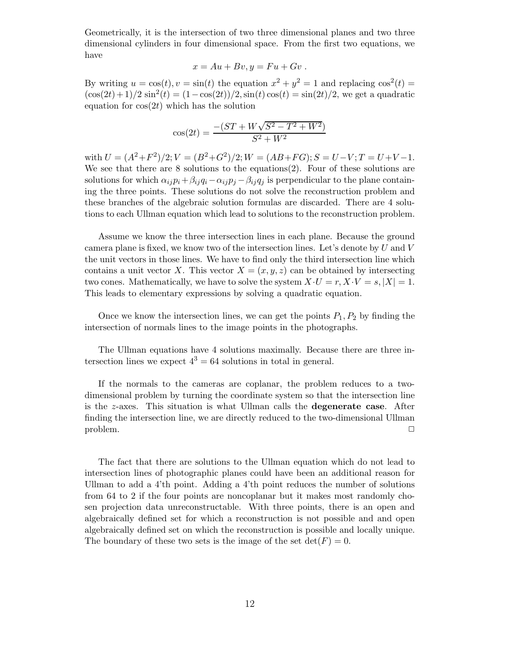Geometrically, it is the intersection of two three dimensional planes and two three dimensional cylinders in four dimensional space. From the first two equations, we have

$$
x = Au + Bv, y = Fu + Gv.
$$

By writing  $u = \cos(t)$ ,  $v = \sin(t)$  the equation  $x^2 + y^2 = 1$  and replacing  $\cos^2(t) =$  $(\cos(2t) + 1)/2 \sin^2(t) = (1 - \cos(2t))/2, \sin(t) \cos(t) = \sin(2t)/2$ , we get a quadratic equation for  $cos(2t)$  which has the solution

$$
\cos(2t)=\frac{-(ST+W\sqrt{S^2-T^2+W^2})}{S^2+W^2}
$$

with  $U = (A^2 + F^2)/2$ ;  $V = (B^2 + G^2)/2$ ;  $W = (AB + FG)$ ;  $S = U - V$ ;  $T = U + V - 1$ . We see that there are  $8$  solutions to the equations $(2)$ . Four of these solutions are solutions for which  $\alpha_{ij}p_i+\beta_{ij}q_i-\alpha_{ij}p_j-\beta_{ij}q_j$  is perpendicular to the plane containing the three points. These solutions do not solve the reconstruction problem and these branches of the algebraic solution formulas are discarded. There are 4 solutions to each Ullman equation which lead to solutions to the reconstruction problem.

Assume we know the three intersection lines in each plane. Because the ground camera plane is fixed, we know two of the intersection lines. Let's denote by  $U$  and  $V$ the unit vectors in those lines. We have to find only the third intersection line which contains a unit vector X. This vector  $X = (x, y, z)$  can be obtained by intersecting two cones. Mathematically, we have to solve the system  $X \cdot U = r, X \cdot V = s, |X| = 1$ . This leads to elementary expressions by solving a quadratic equation.

Once we know the intersection lines, we can get the points  $P_1, P_2$  by finding the intersection of normals lines to the image points in the photographs.

The Ullman equations have 4 solutions maximally. Because there are three intersection lines we expect  $4^3 = 64$  solutions in total in general.

If the normals to the cameras are coplanar, the problem reduces to a twodimensional problem by turning the coordinate system so that the intersection line is the z-axes. This situation is what Ullman calls the degenerate case. After finding the intersection line, we are directly reduced to the two-dimensional Ullman  $\Box$  problem.  $\Box$ 

The fact that there are solutions to the Ullman equation which do not lead to intersection lines of photographic planes could have been an additional reason for Ullman to add a 4'th point. Adding a 4'th point reduces the number of solutions from 64 to 2 if the four points are noncoplanar but it makes most randomly chosen projection data unreconstructable. With three points, there is an open and algebraically defined set for which a reconstruction is not possible and and open algebraically defined set on which the reconstruction is possible and locally unique. The boundary of these two sets is the image of the set  $\det(F) = 0$ .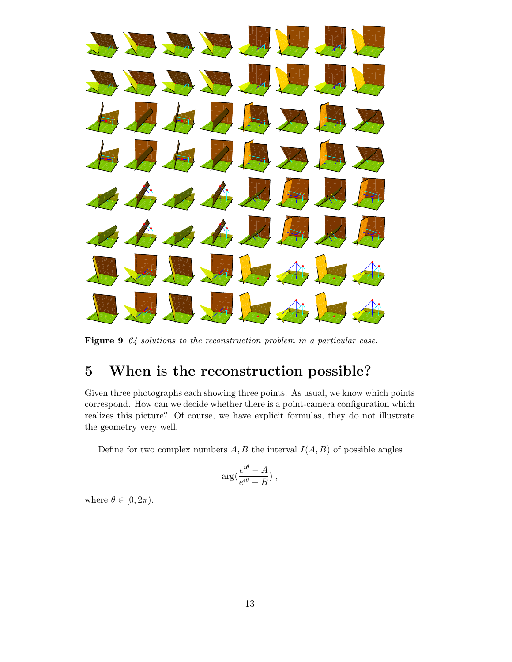

Figure 9 64 solutions to the reconstruction problem in a particular case.

# 5 When is the reconstruction possible?

Given three photographs each showing three points. As usual, we know which points correspond. How can we decide whether there is a point-camera configuration which realizes this picture? Of course, we have explicit formulas, they do not illustrate the geometry very well.

Define for two complex numbers  $A, B$  the interval  $I(A, B)$  of possible angles

$$
\arg(\frac{e^{i\theta}-A}{e^{i\theta}-B})\;,
$$

where  $\theta \in [0, 2\pi)$ .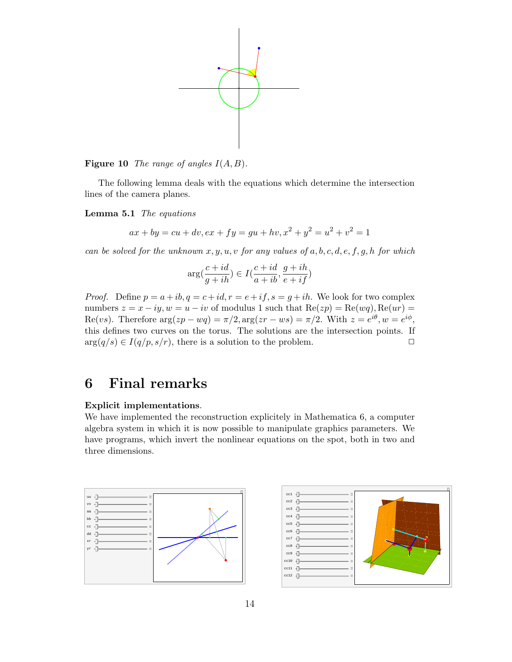

**Figure 10** The range of angles  $I(A, B)$ .

The following lemma deals with the equations which determine the intersection lines of the camera planes.

Lemma 5.1 The equations

$$
ax + by = cu + dv, ex + fy = gu + hv, x2 + y2 = u2 + v2 = 1
$$

can be solved for the unknown  $x, y, u, v$  for any values of a, b, c, d, e, f, g, h for which

$$
\arg(\frac{c+id}{g+ih})\in I(\frac{c+id}{a+ib},\frac{g+ih}{e+if})
$$

*Proof.* Define  $p = a + ib, q = c + id, r = e + if, s = g + ih$ . We look for two complex numbers  $z = x - iy$ ,  $w = u - iv$  of modulus 1 such that  $Re(zp) = Re(wq)$ ,  $Re(ur) =$ Re(vs). Therefore  $\arg(zp - wq) = \pi/2, \arg(zr - ws) = \pi/2$ . With  $z = e^{i\theta}, w = e^{i\phi}$ , this defines two curves on the torus. The solutions are the intersection points. If  $arg(q/s) \in I(q/p, s/r)$ , there is a solution to the problem.

## 6 Final remarks

#### Explicit implementations.

We have implemented the reconstruction explicitely in Mathematica 6, a computer algebra system in which it is now possible to manipulate graphics parameters. We have programs, which invert the nonlinear equations on the spot, both in two and three dimensions.



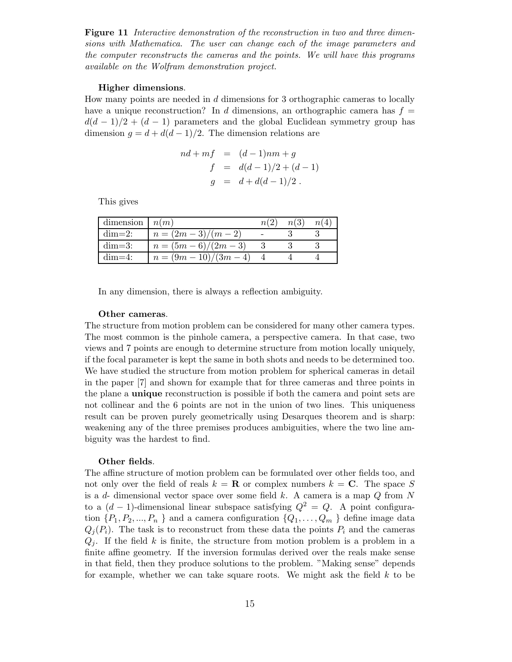Figure 11 Interactive demonstration of the reconstruction in two and three dimensions with Mathematica. The user can change each of the image parameters and the computer reconstructs the cameras and the points. We will have this programs available on the Wolfram demonstration project.

#### Higher dimensions.

How many points are needed in d dimensions for 3 orthographic cameras to locally have a unique reconstruction? In d dimensions, an orthographic camera has  $f =$  $d(d-1)/2 + (d-1)$  parameters and the global Euclidean symmetry group has dimension  $g = d + d(d-1)/2$ . The dimension relations are

$$
nd + mf = (d - 1)nm + g
$$
  
\n
$$
f = d(d - 1)/2 + (d - 1)
$$
  
\n
$$
g = d + d(d - 1)/2.
$$

This gives

| dimension $n(m)$ |                          | n(2) | n(3) | n(4) |
|------------------|--------------------------|------|------|------|
| $dim=2$ :        | $n = (2m-3)/(m-2)$       |      |      |      |
| $dim=3$ :        | $n = (5m - 6)/(2m - 3)$  |      |      |      |
| $dim=4$ :        | $n = (9m - 10)/(3m - 4)$ |      |      |      |

In any dimension, there is always a reflection ambiguity.

#### Other cameras.

The structure from motion problem can be considered for many other camera types. The most common is the pinhole camera, a perspective camera. In that case, two views and 7 points are enough to determine structure from motion locally uniquely, if the focal parameter is kept the same in both shots and needs to be determined too. We have studied the structure from motion problem for spherical cameras in detail in the paper [7] and shown for example that for three cameras and three points in the plane a unique reconstruction is possible if both the camera and point sets are not collinear and the 6 points are not in the union of two lines. This uniqueness result can be proven purely geometrically using Desarques theorem and is sharp: weakening any of the three premises produces ambiguities, where the two line ambiguity was the hardest to find.

#### Other fields.

The affine structure of motion problem can be formulated over other fields too, and not only over the field of reals  $k = \mathbf{R}$  or complex numbers  $k = \mathbf{C}$ . The space S is a  $d$ - dimensional vector space over some field k. A camera is a map  $Q$  from N to a  $(d-1)$ -dimensional linear subspace satisfying  $Q^2 = Q$ . A point configuration  $\{P_1, P_2, ..., P_n\}$  and a camera configuration  $\{Q_1, ..., Q_m\}$  define image data  $Q_i(P_i)$ . The task is to reconstruct from these data the points  $P_i$  and the cameras  $Q_i$ . If the field k is finite, the structure from motion problem is a problem in a finite affine geometry. If the inversion formulas derived over the reals make sense in that field, then they produce solutions to the problem. "Making sense" depends for example, whether we can take square roots. We might ask the field  $k$  to be